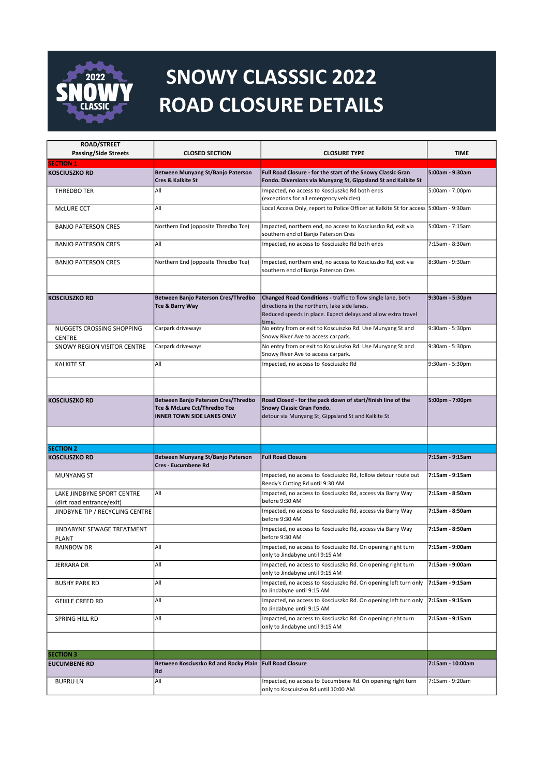

## SNOWY CLASSSIC 2022 ROAD CLOSURE DETAILS

| <b>ROAD/STREET</b>                                      |                                                                   |                                                                                                                              |                   |
|---------------------------------------------------------|-------------------------------------------------------------------|------------------------------------------------------------------------------------------------------------------------------|-------------------|
| <b>Passing/Side Streets</b>                             | <b>CLOSED SECTION</b>                                             | <b>CLOSURE TYPE</b>                                                                                                          | <b>TIME</b>       |
| <b>SECTION 1</b>                                        |                                                                   |                                                                                                                              |                   |
| <b>KOSCIUSZKO RD</b>                                    | Between Munyang St/Banjo Paterson<br><b>Cres &amp; Kalkite St</b> | Full Road Closure - for the start of the Snowy Classic Gran<br>Fondo. Diversions via Munyang St, Gippsland St and Kalkite St | $5:00am - 9:30am$ |
| THREDBO TER                                             | All                                                               | Impacted, no access to Kosciuszko Rd both ends<br>(exceptions for all emergency vehicles)                                    | 5:00am - 7:00pm   |
| MCLURE CCT                                              | All                                                               | Local Access Only, report to Police Officer at Kalkite St for access 5:00am - 9:30am                                         |                   |
| <b>BANJO PATERSON CRES</b>                              | Northern End (opposite Thredbo Tce)                               | Impacted, northern end, no access to Kosciuszko Rd, exit via<br>southern end of Banjo Paterson Cres                          | 5:00am - 7:15am   |
| <b>BANJO PATERSON CRES</b>                              | All                                                               | Impacted, no access to Kosciuszko Rd both ends                                                                               | $7:15am - 8:30am$ |
| <b>BANJO PATERSON CRES</b>                              | Northern End (opposite Thredbo Tce)                               | Impacted, northern end, no access to Kosciuszko Rd, exit via<br>southern end of Banjo Paterson Cres                          | 8:30am - 9:30am   |
| <b>KOSCIUSZKO RD</b>                                    | Between Banjo Paterson Cres/Thredbo                               | Changed Road Conditions - traffic to flow single lane, both                                                                  | 9:30am - 5:30pm   |
|                                                         | Tce & Barry Way                                                   | directions in the northern, lake side lanes.<br>Reduced speeds in place. Expect delays and allow extra travel                |                   |
| NUGGETS CROSSING SHOPPING<br><b>CENTRE</b>              | Carpark driveways                                                 | time.<br>No entry from or exit to Koscuiszko Rd. Use Munyang St and<br>Snowy River Ave to access carpark.                    | 9:30am - 5:30pm   |
| SNOWY REGION VISITOR CENTRE                             | Carpark driveways                                                 | No entry from or exit to Koscuiszko Rd. Use Munyang St and<br>Snowy River Ave to access carpark.                             | 9:30am - 5:30pm   |
| <b>KALKITE ST</b>                                       | All                                                               | Impacted, no access to Kosciuszko Rd                                                                                         | 9:30am - 5:30pm   |
| <b>KOSCIUSZKO RD</b>                                    | Between Banjo Paterson Cres/Thredbo                               | Road Closed - for the pack down of start/finish line of the                                                                  | 5:00pm - 7:00pm   |
|                                                         | Tce & McLure Cct/Thredbo Tce<br><b>INNER TOWN SIDE LANES ONLY</b> | Snowy Classic Gran Fondo.<br>detour via Munyang St, Gippsland St and Kalkite St                                              |                   |
|                                                         |                                                                   |                                                                                                                              |                   |
| <b>SECTION 2</b>                                        |                                                                   |                                                                                                                              |                   |
| <b>KOSCIUSZKO RD</b>                                    | Between Munyang St/Banjo Paterson<br><b>Cres - Eucumbene Rd</b>   | <b>Full Road Closure</b>                                                                                                     | 7:15am - 9:15am   |
| <b>MUNYANG ST</b>                                       |                                                                   | Impacted, no access to Kosciuszko Rd, follow detour route out<br>Reedy's Cutting Rd until 9:30 AM                            | 7:15am - 9:15am   |
| LAKE JINDBYNE SPORT CENTRE<br>(dirt road entrance/exit) | All                                                               | Impacted, no access to Kosciuszko Rd, access via Barry Way<br>before 9:30 AM                                                 | 7:15am - 8:50am   |
| JINDBYNE TIP / RECYCLING CENTRE                         |                                                                   | Impacted, no access to Kosciuszko Rd, access via Barry Way<br>before 9:30 AM                                                 | 7:15am - 8:50am   |
| JINDABYNE SEWAGE TREATMENT<br><b>PLANT</b>              |                                                                   | Impacted, no access to Kosciuszko Rd, access via Barry Way<br>before 9:30 AM                                                 | 7:15am - 8:50am   |
| RAINBOW DR                                              | All                                                               | Impacted, no access to Kosciuszko Rd. On opening right turn<br>only to Jindabyne until 9:15 AM                               | 7:15am - 9:00am   |
| <b>JERRARA DR</b>                                       | All                                                               | Impacted, no access to Kosciuszko Rd. On opening right turn<br>only to Jindabyne until 9:15 AM                               | 7:15am - 9:00am   |
| <b>BUSHY PARK RD</b>                                    | All                                                               | Impacted, no access to Kosciuszko Rd. On opening left turn only<br>to Jindabyne until 9:15 AM                                | 7:15am - 9:15am   |
| GEIKLE CREED RD                                         | All                                                               | Impacted, no access to Kosciuszko Rd. On opening left turn only<br>to Jindabyne until 9:15 AM                                | 7:15am - 9:15am   |
| SPRING HILL RD                                          | All                                                               | Impacted, no access to Kosciuszko Rd. On opening right turn<br>only to Jindabyne until 9:15 AM                               | 7:15am - 9:15am   |
|                                                         |                                                                   |                                                                                                                              |                   |
| <b>SECTION 3</b>                                        |                                                                   |                                                                                                                              |                   |
| <b>EUCUMBENE RD</b>                                     | Between Kosciuszko Rd and Rocky Plain<br>Rd                       | <b>Full Road Closure</b>                                                                                                     | 7:15am - 10:00am  |
| <b>BURRU LN</b>                                         | All                                                               | Impacted, no access to Eucumbene Rd. On opening right turn<br>only to Koscuiszko Rd until 10:00 AM                           | 7:15am - 9:20am   |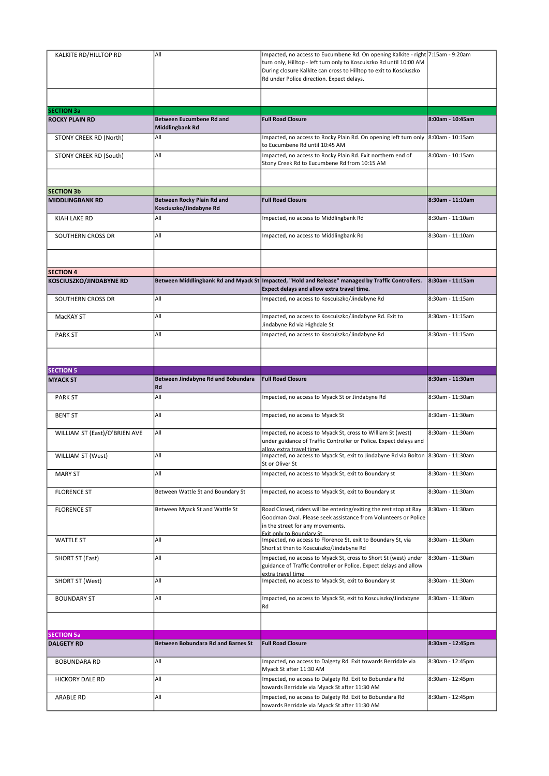| KALKITE RD/HILLTOP RD                       | All                                                       | Impacted, no access to Eucumbene Rd. On opening Kalkite - right 7:15am - 9:20am<br>turn only, Hilltop - left turn only to Koscuiszko Rd until 10:00 AM<br>During closure Kalkite can cross to Hilltop to exit to Kosciuszko<br>Rd under Police direction. Expect delays. |                  |
|---------------------------------------------|-----------------------------------------------------------|--------------------------------------------------------------------------------------------------------------------------------------------------------------------------------------------------------------------------------------------------------------------------|------------------|
|                                             |                                                           |                                                                                                                                                                                                                                                                          |                  |
| <b>SECTION 3a</b><br><b>ROCKY PLAIN RD</b>  | <b>Between Eucumbene Rd and</b><br><b>Middlingbank Rd</b> | <b>Full Road Closure</b>                                                                                                                                                                                                                                                 | 8:00am - 10:45am |
| STONY CREEK RD (North)                      | All                                                       | Impacted, no access to Rocky Plain Rd. On opening left turn only $8:00$ am - 10:15am<br>to Eucumbene Rd until 10:45 AM                                                                                                                                                   |                  |
| STONY CREEK RD (South)                      | All                                                       | Impacted, no access to Rocky Plain Rd. Exit northern end of<br>Stony Creek Rd to Eucumbene Rd from 10:15 AM                                                                                                                                                              | 8:00am - 10:15am |
|                                             |                                                           |                                                                                                                                                                                                                                                                          |                  |
| <b>SECTION 3b</b>                           |                                                           |                                                                                                                                                                                                                                                                          |                  |
| <b>MIDDLINGBANK RD</b>                      | Between Rocky Plain Rd and<br>Kosciuszko/Jindabyne Rd     | <b>Full Road Closure</b>                                                                                                                                                                                                                                                 | 8:30am - 11:10am |
| KIAH LAKE RD                                | All                                                       | Impacted, no access to Middlingbank Rd                                                                                                                                                                                                                                   | 8:30am - 11:10am |
| SOUTHERN CROSS DR                           | All                                                       | Impacted, no access to Middlingbank Rd                                                                                                                                                                                                                                   | 8:30am - 11:10am |
|                                             |                                                           |                                                                                                                                                                                                                                                                          |                  |
| <b>SECTION 4</b><br>KOSCIUSZKO/JINDABYNE RD |                                                           | Between Middlingbank Rd and Myack St   Impacted, "Hold and Release" managed by Traffic Controllers.                                                                                                                                                                      | 8:30am - 11:15am |
|                                             |                                                           | Expect delays and allow extra travel time.                                                                                                                                                                                                                               |                  |
| <b>SOUTHERN CROSS DR</b>                    | All                                                       | Impacted, no access to Koscuiszko/Jindabyne Rd                                                                                                                                                                                                                           | 8:30am - 11:15am |
| MacKAY ST                                   | All                                                       | Impacted, no access to Koscuiszko/Jindabyne Rd. Exit to<br>Jindabyne Rd via Highdale St                                                                                                                                                                                  | 8:30am - 11:15am |
| <b>PARK ST</b>                              | All                                                       | Impacted, no access to Koscuiszko/Jindabyne Rd                                                                                                                                                                                                                           | 8:30am - 11:15am |
|                                             |                                                           |                                                                                                                                                                                                                                                                          |                  |
| <b>SECTION 5</b>                            |                                                           | <b>Full Road Closure</b>                                                                                                                                                                                                                                                 | 8:30am - 11:30am |
| <b>MYACK ST</b>                             | Between Jindabyne Rd and Bobundara<br>Rd                  |                                                                                                                                                                                                                                                                          |                  |
| <b>PARK ST</b>                              | All                                                       | Impacted, no access to Myack St or Jindabyne Rd                                                                                                                                                                                                                          | 8:30am - 11:30am |
| <b>BENT ST</b>                              | All                                                       | Impacted, no access to Myack St                                                                                                                                                                                                                                          | 8:30am - 11:30am |
| WILLIAM ST (East)/O'BRIEN AVE               | All                                                       | Impacted, no access to Myack St, cross to William St (west)<br>under guidance of Traffic Controller or Police. Expect delays and<br>allow extra travel time                                                                                                              | 8:30am - 11:30am |
| <b>WILLIAM ST (West)</b>                    | All                                                       | Impacted, no access to Myack St, exit to Jindabyne Rd via Bolton 8:30am - 11:30am<br>St or Oliver St                                                                                                                                                                     |                  |
| <b>MARY ST</b>                              | All                                                       | Impacted, no access to Myack St, exit to Boundary st                                                                                                                                                                                                                     | 8:30am - 11:30am |
| <b>FLORENCE ST</b>                          | Between Wattle St and Boundary St                         | Impacted, no access to Myack St, exit to Boundary st                                                                                                                                                                                                                     | 8:30am - 11:30am |
| <b>FLORENCE ST</b>                          | Between Myack St and Wattle St                            | Road Closed, riders will be entering/exiting the rest stop at Ray<br>Goodman Oval. Please seek assistance from Volunteers or Police<br>in the street for any movements.<br>Exit only to Boundary St                                                                      | 8:30am - 11:30am |
| <b>WATTLE ST</b>                            | All                                                       | Impacted, no access to Florence St, exit to Boundary St, via<br>Short st then to Koscuiszko/Jindabyne Rd                                                                                                                                                                 | 8:30am - 11:30am |
| SHORT ST (East)                             | All                                                       | Impacted, no access to Myack St, cross to Short St (west) under<br>guidance of Traffic Controller or Police. Expect delays and allow<br>extra travel time                                                                                                                | 8:30am - 11:30am |
| <b>SHORT ST (West)</b>                      | All                                                       | Impacted, no access to Myack St, exit to Boundary st                                                                                                                                                                                                                     | 8:30am - 11:30am |
| <b>BOUNDARY ST</b>                          | All                                                       | Impacted, no access to Myack St, exit to Koscuiszko/Jindabyne<br>Rd                                                                                                                                                                                                      | 8:30am - 11:30am |
|                                             |                                                           |                                                                                                                                                                                                                                                                          |                  |
| <b>SECTION 5a</b><br><b>DALGETY RD</b>      | <b>Between Bobundara Rd and Barnes St</b>                 | <b>Full Road Closure</b>                                                                                                                                                                                                                                                 | 8:30am - 12:45pm |
| <b>BOBUNDARA RD</b>                         | All                                                       | Impacted, no access to Dalgety Rd. Exit towards Berridale via                                                                                                                                                                                                            | 8:30am - 12:45pm |
| HICKORY DALE RD                             | All                                                       | Myack St after 11:30 AM<br>Impacted, no access to Dalgety Rd. Exit to Bobundara Rd                                                                                                                                                                                       | 8:30am - 12:45pm |
|                                             |                                                           | towards Berridale via Myack St after 11:30 AM                                                                                                                                                                                                                            |                  |
| ARABLE RD                                   | All                                                       | Impacted, no access to Dalgety Rd. Exit to Bobundara Rd<br>towards Berridale via Myack St after 11:30 AM                                                                                                                                                                 | 8:30am - 12:45pm |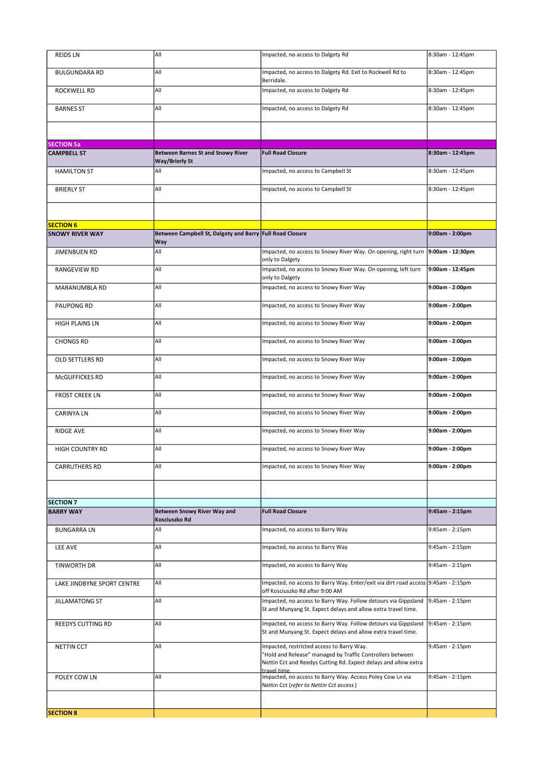| <b>REIDS LN</b>            | All                                                             | Impacted, no access to Dalgety Rd                                                                                                                                                         | 8:30am - 12:45pm  |
|----------------------------|-----------------------------------------------------------------|-------------------------------------------------------------------------------------------------------------------------------------------------------------------------------------------|-------------------|
| <b>BULGUNDARA RD</b>       | All                                                             | Impacted, no access to Dalgety Rd. Exit to Rockwell Rd to<br>Berridale.                                                                                                                   | 8:30am - 12:45pm  |
| ROCKWELL RD                | All                                                             | Impacted, no access to Dalgety Rd                                                                                                                                                         | 8:30am - 12:45pm  |
| <b>BARNES ST</b>           | All                                                             | Impacted, no access to Dalgety Rd                                                                                                                                                         | 8:30am - 12:45pm  |
|                            |                                                                 |                                                                                                                                                                                           |                   |
| <b>SECTION 5a</b>          |                                                                 |                                                                                                                                                                                           |                   |
| <b>CAMPBELL ST</b>         | <b>Between Barnes St and Snowy River</b><br>Way/Brierly St      | <b>Full Road Closure</b>                                                                                                                                                                  | 8:30am - 12:45pm  |
| <b>HAMILTON ST</b>         | All                                                             | Impacted, no access to Campbell St                                                                                                                                                        | 8:30am - 12:45pm  |
| <b>BRIERLY ST</b>          | All                                                             | Impacted, no access to Campbell St                                                                                                                                                        | 8:30am - 12:45pm  |
|                            |                                                                 |                                                                                                                                                                                           |                   |
| <b>SECTION 6</b>           |                                                                 |                                                                                                                                                                                           |                   |
| <b>SNOWY RIVER WAY</b>     | Between Campbell St, Dalgety and Barry Full Road Closure<br>Way |                                                                                                                                                                                           | 9:00am - 2:00pm   |
| JIMENBUEN RD               | All                                                             | Impacted, no access to Snowy River Way. On opening, right turn<br>only to Dalgety                                                                                                         | 9:00am - 12:30pm  |
| RANGEVIEW RD               | All                                                             | Impacted, no access to Snowy River Way. On opening, left turn<br>only to Dalgety                                                                                                          | 9:00am - 12:45pm  |
| <b>MARANUMBLA RD</b>       | All                                                             | Impacted, no access to Snowy River Way                                                                                                                                                    | 9:00am - 2:00pm   |
| PAUPONG RD                 | All                                                             | Impacted, no access to Snowy River Way                                                                                                                                                    | 9:00am - 2:00pm   |
| HIGH PLAINS LN             | All                                                             | Impacted, no access to Snowy River Way                                                                                                                                                    | 9:00am - 2:00pm   |
| <b>CHONGS RD</b>           | All                                                             | Impacted, no access to Snowy River Way                                                                                                                                                    | 9:00am - 2:00pm   |
|                            | All                                                             | Impacted, no access to Snowy River Way                                                                                                                                                    | 9:00am - 2:00pm   |
| OLD SETTLERS RD            |                                                                 |                                                                                                                                                                                           |                   |
| McGUFFICKES RD             | All                                                             | Impacted, no access to Snowy River Way                                                                                                                                                    | 9:00am - 2:00pm   |
| <b>FROST CREEK LN</b>      | All                                                             | Impacted, no access to Snowy River Way                                                                                                                                                    | 9:00am - 2:00pm   |
| <b>CARINYALN</b>           | All                                                             | Impacted, no access to Snowy River Way                                                                                                                                                    | 9:00am - 2:00pm   |
| <b>RIDGE AVE</b>           | All                                                             | Impacted, no access to Snowy River Way                                                                                                                                                    | 9:00am - 2:00pm   |
| <b>HIGH COUNTRY RD</b>     | All                                                             | Impacted, no access to Snowy River Way                                                                                                                                                    | 9:00am - 2:00pm   |
| CARRUTHERS RD              | All                                                             | Impacted, no access to Snowy River Way                                                                                                                                                    | 9:00am - 2:00pm   |
|                            |                                                                 |                                                                                                                                                                                           |                   |
| <b>SECTION 7</b>           |                                                                 |                                                                                                                                                                                           |                   |
| <b>BARRY WAY</b>           | <b>Between Snowy River Way and</b><br>Kosciuszko Rd             | <b>Full Road Closure</b>                                                                                                                                                                  | $9:45am - 2:15pm$ |
| <b>BUNGARRA LN</b>         | All                                                             | Impacted, no access to Barry Way                                                                                                                                                          | 9:45am - 2:15pm   |
| LEE AVE                    | All                                                             | Impacted, no access to Barry Way                                                                                                                                                          | 9:45am - 2:15pm   |
| TINWORTH DR                | All                                                             | Impacted, no access to Barry Way                                                                                                                                                          | $9:45am - 2:15pm$ |
| LAKE JINDBYNE SPORT CENTRE | All                                                             | Impacted, no access to Barry Way. Enter/exit via dirt road access 9:45am - 2:15pm<br>off Kosciuszko Rd after 9:00 AM                                                                      |                   |
| <b>JILLAMATONG ST</b>      | All                                                             | Impacted, no access to Barry Way. Follow detours via Gippsland 9:45am - 2:15pm<br>St and Munyang St. Expect delays and allow extra travel time.                                           |                   |
| REEDYS CUTTING RD          | All                                                             | Impacted, no access to Barry Way. Follow detours via Gippsland<br>St and Munyang St. Expect delays and allow extra travel time.                                                           | 9:45am - 2:15pm   |
| NETTIN CCT                 | All                                                             | Impacted, restricted access to Barry Way.<br>"Hold and Release" managed by Traffic Controllers between<br>Nettin Cct and Reedys Cutting Rd. Expect delays and allow extra<br>travel time. | 9:45am - 2:15pm   |
| POLEY COW LN               | All                                                             | Impacted, no access to Barry Way. Access Poley Cow Ln via<br>Nettin Cct (refer to Nettin Cct access)                                                                                      | 9:45am - 2:15pm   |
|                            |                                                                 |                                                                                                                                                                                           |                   |
| <b>SECTION 8</b>           |                                                                 |                                                                                                                                                                                           |                   |